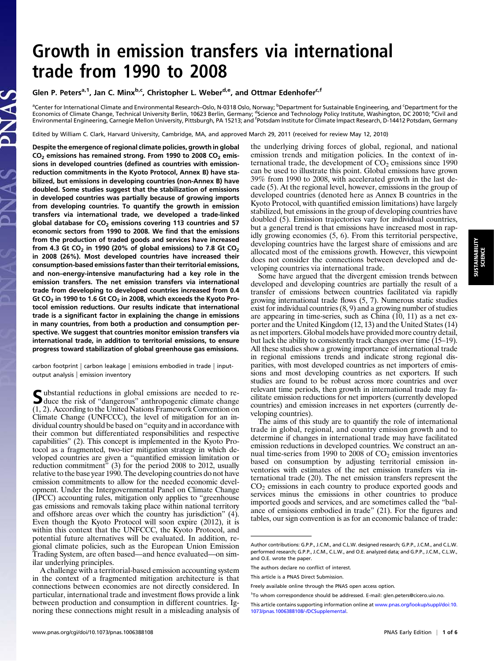# Growth in emission transfers via international trade from 1990 to 2008

# Glen P. Peters<sup>a,1</sup>, Jan C. Minx<sup>b,c</sup>, Christopher L. Weber<sup>d,e</sup>, and Ottmar Edenhofer<sup>c,f</sup>

<sup>a</sup>Center for International Climate and Environmental Research–Oslo, N-0318 Oslo, Norway; <sup>b</sup>Department for Sustainable Engineering, and ʿDepartment for the<br>Economics of Climate Change, Technical University Berlin, 10623 B

Edited by William C. Clark, Harvard University, Cambridge, MA, and approved March 29, 2011 (received for review May 12, 2010)

Despite the emergence of regional climate policies, growth in global  $CO<sub>2</sub>$  emissions has remained strong. From 1990 to 2008  $CO<sub>2</sub>$  emissions in developed countries (defined as countries with emissionreduction commitments in the Kyoto Protocol, Annex B) have stabilized, but emissions in developing countries (non-Annex B) have doubled. Some studies suggest that the stabilization of emissions in developed countries was partially because of growing imports from developing countries. To quantify the growth in emission transfers via international trade, we developed a trade-linked global database for  $CO<sub>2</sub>$  emissions covering 113 countries and 57 economic sectors from 1990 to 2008. We find that the emissions from the production of traded goods and services have increased from 4.3 Gt  $CO<sub>2</sub>$  in 1990 (20% of global emissions) to 7.8 Gt  $CO<sub>2</sub>$ in 2008 (26%). Most developed countries have increased their consumption-based emissions faster than their territorial emissions, and non–energy-intensive manufacturing had a key role in the emission transfers. The net emission transfers via international trade from developing to developed countries increased from 0.4 Gt CO<sub>2</sub> in 1990 to 1.6 Gt CO<sub>2</sub> in 2008, which exceeds the Kyoto Protocol emission reductions. Our results indicate that international trade is a significant factor in explaining the change in emissions in many countries, from both a production and consumption perspective. We suggest that countries monitor emission transfers via international trade, in addition to territorial emissions, to ensure progress toward stabilization of global greenhouse gas emissions.

carbon footprint | carbon leakage | emissions embodied in trade | inputoutput analysis | emission inventory

Substantial reductions in global emissions are needed to re-<br>duce the risk of "dangerous" anthropogenic climate change (1, 2). According to the United Nations Framework Convention on Climate Change (UNFCCC), the level of mitigation for an individual country should be based on "equity and in accordance with their common but differentiated responsibilities and respective capabilities" (2). This concept is implemented in the Kyoto Protocol as a fragmented, two-tier mitigation strategy in which developed countries are given a "quantified emission limitation or reduction commitment<sup> $\dddot{ }$ </sup> (3) for the period 2008 to 2012, usually relative to the base year 1990. The developing countries do not have emission commitments to allow for the needed economic development. Under the Intergovernmental Panel on Climate Change (IPCC) accounting rules, mitigation only applies to "greenhouse gas emissions and removals taking place within national territory and offshore areas over which the country has jurisdiction" (4). Even though the Kyoto Protocol will soon expire (2012), it is within this context that the UNFCCC, the Kyoto Protocol, and potential future alternatives will be evaluated. In addition, regional climate policies, such as the European Union Emission Trading System, are often based—and hence evaluated—on similar underlying principles.

A challenge with a territorial-based emission accounting system in the context of a fragmented mitigation architecture is that connections between economies are not directly considered. In particular, international trade and investment flows provide a link between production and consumption in different countries. Ignoring these connections might result in a misleading analysis of the underlying driving forces of global, regional, and national emission trends and mitigation policies. In the context of international trade, the development of  $CO<sub>2</sub>$  emissions since 1990 can be used to illustrate this point. Global emissions have grown 39% from 1990 to 2008, with accelerated growth in the last decade (5). At the regional level, however, emissions in the group of developed countries (denoted here as Annex B countries in the Kyoto Protocol, with quantified emission limitations) have largely stabilized, but emissions in the group of developing countries have doubled (5). Emission trajectories vary for individual countries, but a general trend is that emissions have increased most in rapidly growing economies (5, 6). From this territorial perspective, developing countries have the largest share of emissions and are allocated most of the emissions growth. However, this viewpoint does not consider the connections between developed and developing countries via international trade.

Some have argued that the divergent emission trends between developed and developing countries are partially the result of a transfer of emissions between countries facilitated via rapidly growing international trade flows (5, 7). Numerous static studies exist for individual countries (8, 9) and a growing number of studies are appearing in time-series, such as China (10, 11) as a net exporter and the United Kingdom (12, 13) and the United States (14) as net importers. Global models have provided more country detail, but lack the ability to consistently track changes over time (15–19). All these studies show a growing importance of international trade in regional emissions trends and indicate strong regional disparities, with most developed countries as net importers of emissions and most developing countries as net exporters. If such studies are found to be robust across more countries and over relevant time periods, then growth in international trade may facilitate emission reductions for net importers (currently developed countries) and emission increases in net exporters (currently developing countries).

The aims of this study are to quantify the role of international trade in global, regional, and country emission growth and to determine if changes in international trade may have facilitated emission reductions in developed countries. We construct an annual time-series from 1990 to 2008 of  $CO<sub>2</sub>$  emission inventories based on consumption by adjusting territorial emission inventories with estimates of the net emission transfers via international trade (20). The net emission transfers represent the CO2 emissions in each country to produce exported goods and services minus the emissions in other countries to produce imported goods and services, and are sometimes called the "balance of emissions embodied in trade" (21). For the figures and tables, our sign convention is as for an economic balance of trade:

Author contributions: G.P.P., J.C.M., and C.L.W. designed research; G.P.P., J.C.M., and C.L.W. performed research; G.P.P., J.C.M., C.L.W., and O.E. analyzed data; and G.P.P., J.C.M., C.L.W., and O.E. wrote the paper.

The authors declare no conflict of interest.

This article is a PNAS Direct Submission.

Freely available online through the PNAS open access option.

<sup>&</sup>lt;sup>1</sup>To whom correspondence should be addressed. E-mail: [glen.peters@cicero.uio.no](mailto:glen.peters@cicero.uio.no).

This article contains supporting information online at [www.pnas.org/lookup/suppl/doi:10.](http://www.pnas.org/lookup/suppl/doi:10.1073/pnas.1006388108/-/DCSupplemental) [1073/pnas.1006388108/-/DCSupplemental](http://www.pnas.org/lookup/suppl/doi:10.1073/pnas.1006388108/-/DCSupplemental).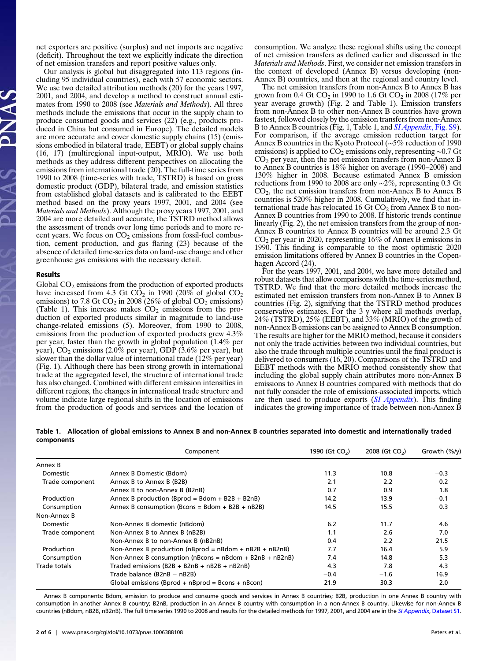net exporters are positive (surplus) and net imports are negative (deficit). Throughout the text we explicitly indicate the direction of net emission transfers and report positive values only.

Our analysis is global but disaggregated into 113 regions (including 95 individual countries), each with 57 economic sectors. We use two detailed attribution methods (20) for the years 1997, 2001, and 2004, and develop a method to construct annual estimates from 1990 to 2008 (see Materials and Methods). All three methods include the emissions that occur in the supply chain to produce consumed goods and services (22) (e.g., products produced in China but consumed in Europe). The detailed models are more accurate and cover domestic supply chains (15) (emissions embodied in bilateral trade, EEBT) or global supply chains (16, 17) (multiregional input-output, MRIO). We use both methods as they address different perspectives on allocating the emissions from international trade (20). The full-time series from 1990 to 2008 (time-series with trade, TSTRD) is based on gross domestic product (GDP), bilateral trade, and emission statistics from established global datasets and is calibrated to the EEBT method based on the proxy years 1997, 2001, and 2004 (see Materials and Methods). Although the proxy years 1997, 2001, and 2004 are more detailed and accurate, the TSTRD method allows the assessment of trends over long time periods and to more recent years. We focus on  $CO<sub>2</sub>$  emissions from fossil-fuel combustion, cement production, and gas flaring (23) because of the absence of detailed time-series data on land-use change and other greenhouse gas emissions with the necessary detail.

## Results

Global  $CO<sub>2</sub>$  emissions from the production of exported products have increased from 4.3 Gt  $CO<sub>2</sub>$  in 1990 (20% of global  $CO<sub>2</sub>$ ) emissions) to 7.8 Gt  $CO_2$  in 2008 (26% of global  $CO_2$  emissions) (Table 1). This increase makes  $CO<sub>2</sub>$  emissions from the production of exported products similar in magnitude to land-use change-related emissions (5). Moreover, from 1990 to 2008, emissions from the production of exported products grew 4.3% per year, faster than the growth in global population (1.4% per year),  $CO_2$  emissions (2.0% per year), GDP (3.6% per year), but slower than the dollar value of international trade (12% per year) (Fig. 1). Although there has been strong growth in international trade at the aggregated level, the structure of international trade has also changed. Combined with different emission intensities in different regions, the changes in international trade structure and volume indicate large regional shifts in the location of emissions from the production of goods and services and the location of consumption. We analyze these regional shifts using the concept of net emission transfers as defined earlier and discussed in the Materials and Methods. First, we consider net emission transfers in the context of developed (Annex B) versus developing (non-Annex B) countries, and then at the regional and country level.

The net emission transfers from non-Annex B to Annex B has grown from 0.4 Gt  $CO<sub>2</sub>$  in 1990 to 1.6 Gt  $CO<sub>2</sub>$  in 2008 (17% per year average growth) (Fig. 2 and Table 1). Emission transfers from non-Annex B to other non-Annex B countries have grown fastest, followed closely by the emission transfers from non-Annex B to Annex B countries (Fig. 1, Table 1, and *[SI Appendix](http://www.pnas.org/lookup/suppl/doi:10.1073/pnas.1006388108/-/DCSupplemental/sapp.pdf)*, Fig. S9). For comparison, if the average emission reduction target for Annex B countries in the Kyoto Protocol (∼5% reduction of 1990 emissions) is applied to  $CO_2$  emissions only, representing ~0.7 Gt  $CO<sub>2</sub>$  per year, then the net emission transfers from non-Annex B to Annex B countries is 18% higher on average (1990–2008) and 130% higher in 2008. Because estimated Annex B emission reductions from 1990 to 2008 are only ∼2%, representing 0.3 Gt  $CO<sub>2</sub>$ , the net emission transfers from non-Annex B to Annex B countries is 520% higher in 2008. Cumulatively, we find that international trade has relocated 16 Gt  $CO<sub>2</sub>$  from Annex B to non-Annex B countries from 1990 to 2008. If historic trends continue linearly (Fig. 2), the net emission transfers from the group of non-Annex B countries to Annex B countries will be around 2.3 Gt  $CO<sub>2</sub>$  per year in 2020, representing 16% of Annex B emissions in 1990. This finding is comparable to the most optimistic 2020 emission limitations offered by Annex B countries in the Copenhagen Accord (24).

For the years 1997, 2001, and 2004, we have more detailed and robust datasets that allow comparisons with the time-series method, TSTRD. We find that the more detailed methods increase the estimated net emission transfers from non-Annex B to Annex B countries (Fig. 2), signifying that the TSTRD method produces conservative estimates. For the 3 y where all methods overlap, 24% (TSTRD), 25% (EEBT), and 33% (MRIO) of the growth of non-Annex B emissions can be assigned to Annex B consumption. The results are higher for the MRIO method, because it considers not only the trade activities between two individual countries, but also the trade through multiple countries until the final product is delivered to consumers (16, 20). Comparisons of the TSTRD and EEBT methods with the MRIO method consistently show that including the global supply chain attributes more non-Annex B emissions to Annex B countries compared with methods that do not fully consider the role of emissions-associated imports, which are then used to produce exports ([SI Appendix](http://www.pnas.org/lookup/suppl/doi:10.1073/pnas.1006388108/-/DCSupplemental/sapp.pdf)). This finding indicates the growing importance of trade between non-Annex B

|            | Table 1. Allocation of global emissions to Annex B and non-Annex B countries separated into domestic and internationally traded |
|------------|---------------------------------------------------------------------------------------------------------------------------------|
| components |                                                                                                                                 |

|                 | Component                                                             | 1990 (Gt $CO2$ ) | 2008 (Gt $CO2$ ) | Growth $(\% / \vee)$ |
|-----------------|-----------------------------------------------------------------------|------------------|------------------|----------------------|
| Annex B         |                                                                       |                  |                  |                      |
| Domestic        | Annex B Domestic (Bdom)                                               | 11.3             | 10.8             | $-0.3$               |
| Trade component | Annex B to Annex B (B2B)                                              | 2.1              | 2.2              | 0.2                  |
|                 | Annex B to non-Annex B (B2nB)                                         | 0.7              | 0.9              | 1.8                  |
| Production      | Annex B production (Bprod = Bdom + B2B + B2nB)                        | 14.2             | 13.9             | $-0.1$               |
| Consumption     | Annex B consumption (Bcons = $Bdom + B2B + nB2B$ )                    | 14.5             | 15.5             | 0.3                  |
| Non-Annex B     |                                                                       |                  |                  |                      |
| Domestic        | Non-Annex B domestic (nBdom)                                          | 6.2              | 11.7             | 4.6                  |
| Trade component | Non-Annex B to Annex B (nB2B)                                         | 1.1              | 2.6              | 7.0                  |
|                 | Non-Annex B to non-Annex B (nB2nB)                                    | 0.4              | 2.2              | 21.5                 |
| Production      | Non-Annex B production ( $nB$ prod = $nB$ dom + $nB2B$ + $nB2nB$ )    | 7.7              | 16.4             | 5.9                  |
| Consumption     | Non-Annex B consumption (nBcons = $n$ Bdom + B2 $n$ B + $n$ B2 $n$ B) | 7.4              | 14.8             | 5.3                  |
| Trade totals    | Traded emissions (B2B + B2nB + $nB2B$ + $nB2nB$ )                     | 4.3              | 7.8              | 4.3                  |
|                 | Trade balance (B2nB - nB2B)                                           | $-0.4$           | $-1.6$           | 16.9                 |
|                 | Global emissions (Bprod + $nBprod$ = Bcons + $nBcon$ )                | 21.9             | 30.3             | 2.0                  |

Annex B components: Bdom, emission to produce and consume goods and services in Annex B countries; B2B, production in one Annex B country with consumption in another Annex B country; B2nB, production in an Annex B country with consumption in a non-Annex B country. Likewise for non-Annex B countries (nBdom, nB2B, nB2nB). The full time series 1990 to 2008 and results for the detailed methods for 1997, 2001, and 2004 are in the [SI Appendix](http://www.pnas.org/lookup/suppl/doi:10.1073/pnas.1006388108/-/DCSupplemental/sapp.pdf), [Dataset S1.](http://www.pnas.org/lookup/suppl/doi:10.1073/pnas.1006388108/-/DCSupplemental/sd01.xls)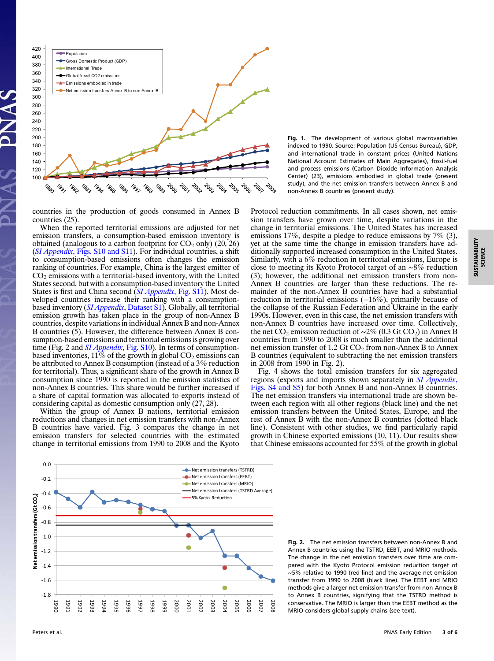

countries in the production of goods consumed in Annex B countries (25).

When the reported territorial emissions are adjusted for net emission transfers, a consumption-based emission inventory is obtained (analogous to a carbon footprint for  $CO_2$  only) (20, 26) (SI Appendix[, Figs. S10 and S11](http://www.pnas.org/lookup/suppl/doi:10.1073/pnas.1006388108/-/DCSupplemental/sapp.pdf)). For individual countries, a shift to consumption-based emissions often changes the emission ranking of countries. For example, China is the largest emitter of CO2 emissions with a territorial-based inventory, with the United States second, but with a consumption-based inventory the United States is first and China second (SI Appendix[, Fig. S11\)](http://www.pnas.org/lookup/suppl/doi:10.1073/pnas.1006388108/-/DCSupplemental/sapp.pdf). Most developed countries increase their ranking with a consumptionbased inventory ([SI Appendix](http://www.pnas.org/lookup/suppl/doi:10.1073/pnas.1006388108/-/DCSupplemental/sapp.pdf), [Dataset S1\)](http://www.pnas.org/lookup/suppl/doi:10.1073/pnas.1006388108/-/DCSupplemental/sd01.xls). Globally, all territorial emission growth has taken place in the group of non-Annex B countries, despite variations in individual Annex B and non-Annex B countries (5). However, the difference between Annex B consumption-based emissions and territorial emissions is growing over time (Fig. 2 and *SI Appendix*[, Fig. S10](http://www.pnas.org/lookup/suppl/doi:10.1073/pnas.1006388108/-/DCSupplemental/sapp.pdf)). In terms of consumptionbased inventories,  $11\%$  of the growth in global  $CO<sub>2</sub>$  emissions can be attributed to Annex B consumption (instead of a 3% reduction for territorial). Thus, a significant share of the growth in Annex B consumption since 1990 is reported in the emission statistics of non-Annex B countries. This share would be further increased if a share of capital formation was allocated to exports instead of considering capital as domestic consumption only (27, 28).

Within the group of Annex B nations, territorial emission reductions and changes in net emission transfers with non-Annex B countries have varied. Fig. 3 compares the change in net emission transfers for selected countries with the estimated change in territorial emissions from 1990 to 2008 and the Kyoto



Fig. 1. The development of various global macrovariables indexed to 1990. Source: Population (US Census Bureau), GDP, and international trade in constant prices (United Nations National Account Estimates of Main Aggregates), fossil-fuel and process emissions (Carbon Dioxide Information Analysis Center) (23), emissions embodied in global trade (present study), and the net emission transfers between Annex B and non-Annex B countries (present study).

Protocol reduction commitments. In all cases shown, net emission transfers have grown over time, despite variations in the change in territorial emissions. The United States has increased emissions 17%, despite a pledge to reduce emissions by 7% (3), yet at the same time the change in emission transfers have additionally supported increased consumption in the United States. Similarly, with a 6% reduction in territorial emissions, Europe is close to meeting its Kyoto Protocol target of an ∼8% reduction (3); however, the additional net emission transfers from non-Annex B countries are larger than these reductions. The remainder of the non-Annex B countries have had a substantial reduction in territorial emissions (−16%), primarily because of the collapse of the Russian Federation and Ukraine in the early 1990s. However, even in this case, the net emission transfers with non-Annex B countries have increased over time. Collectively, the net CO<sub>2</sub> emission reduction of ~2% (0.3 Gt CO<sub>2</sub>) in Annex B countries from 1990 to 2008 is much smaller than the additional net emission transfer of 1.2 Gt  $CO<sub>2</sub>$  from non-Annex B to Annex B countries (equivalent to subtracting the net emission transfers in 2008 from 1990 in Fig. 2).

Fig. 4 shows the total emission transfers for six aggregated regions (exports and imports shown separately in *[SI Appendix](http://www.pnas.org/lookup/suppl/doi:10.1073/pnas.1006388108/-/DCSupplemental/sapp.pdf)*, [Figs. S4 and S5](http://www.pnas.org/lookup/suppl/doi:10.1073/pnas.1006388108/-/DCSupplemental/sapp.pdf)) for both Annex B and non-Annex B countries. The net emission transfers via international trade are shown between each region with all other regions (black line) and the net emission transfers between the United States, Europe, and the rest of Annex B with the non-Annex B countries (dotted black line). Consistent with other studies, we find particularly rapid growth in Chinese exported emissions (10, 11). Our results show that Chinese emissions accounted for 55% of the growth in global

> Fig. 2. The net emission transfers between non-Annex B and Annex B countries using the TSTRD, EEBT, and MRIO methods. The change in the net emission transfers over time are compared with the Kyoto Protocol emission reduction target of ∼5% relative to 1990 (red line) and the average net emission transfer from 1990 to 2008 (black line). The EEBT and MRIO methods give a larger net emission transfer from non-Annex B to Annex B countries, signifying that the TSTRD method is conservative. The MRIO is larger than the EEBT method as the MRIO considers global supply chains (see text).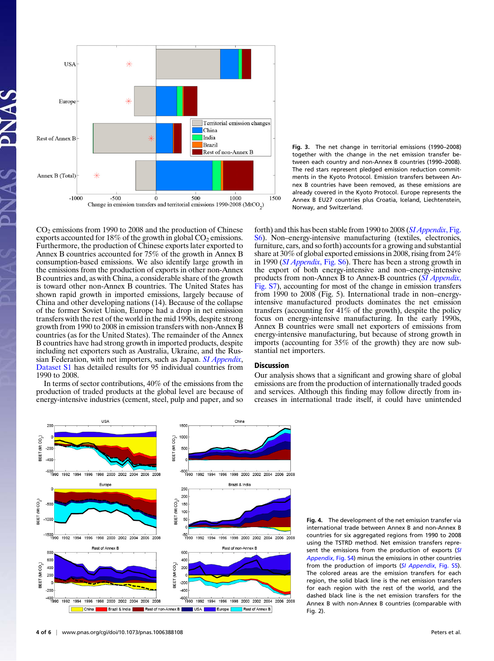

CO2 emissions from 1990 to 2008 and the production of Chinese exports accounted for 18% of the growth in global  $CO<sub>2</sub>$  emissions. Furthermore, the production of Chinese exports later exported to Annex B countries accounted for 75% of the growth in Annex B consumption-based emissions. We also identify large growth in the emissions from the production of exports in other non-Annex B countries and, as with China, a considerable share of the growth is toward other non-Annex B countries. The United States has shown rapid growth in imported emissions, largely because of China and other developing nations (14). Because of the collapse of the former Soviet Union, Europe had a drop in net emission transfers with the rest of the world in the mid 1990s, despite strong growth from 1990 to 2008 in emission transfers with non-Annex B countries (as for the United States). The remainder of the Annex B countries have had strong growth in imported products, despite including net exporters such as Australia, Ukraine, and the Rus-sian Federation, with net importers, such as Japan. [SI Appendix](http://www.pnas.org/lookup/suppl/doi:10.1073/pnas.1006388108/-/DCSupplemental/sapp.pdf), [Dataset S1](http://www.pnas.org/lookup/suppl/doi:10.1073/pnas.1006388108/-/DCSupplemental/sd01.xls) has detailed results for 95 individual countries from 1990 to 2008.

In terms of sector contributions, 40% of the emissions from the production of traded products at the global level are because of energy-intensive industries (cement, steel, pulp and paper, and so



forth) and this has been stable from 1990 to 2008 ([SI Appendix](http://www.pnas.org/lookup/suppl/doi:10.1073/pnas.1006388108/-/DCSupplemental/sapp.pdf), Fig. [S6\)](http://www.pnas.org/lookup/suppl/doi:10.1073/pnas.1006388108/-/DCSupplemental/sapp.pdf). Non–energy-intensive manufacturing (textiles, electronics, furniture, cars, and so forth) accounts for a growing and substantial share at 30% of global exported emissions in 2008, rising from 24% in 1990 ([SI Appendix](http://www.pnas.org/lookup/suppl/doi:10.1073/pnas.1006388108/-/DCSupplemental/sapp.pdf), Fig. S6). There has been a strong growth in the export of both energy-intensive and non–energy-intensive products from non-Annex B to Annex-B countries ([SI Appendix](http://www.pnas.org/lookup/suppl/doi:10.1073/pnas.1006388108/-/DCSupplemental/sapp.pdf), [Fig. S7\)](http://www.pnas.org/lookup/suppl/doi:10.1073/pnas.1006388108/-/DCSupplemental/sapp.pdf), accounting for most of the change in emission transfers from 1990 to 2008 (Fig. 5). International trade in non–energyintensive manufactured products dominates the net emission transfers (accounting for 41% of the growth), despite the policy focus on energy-intensive manufacturing. In the early 1990s, Annex B countries were small net exporters of emissions from energy-intensive manufacturing, but because of strong growth in imports (accounting for 35% of the growth) they are now substantial net importers.

### **Discussion**

Our analysis shows that a significant and growing share of global emissions are from the production of internationally traded goods and services. Although this finding may follow directly from increases in international trade itself, it could have unintended



Fig. 4. The development of the net emission transfer via international trade between Annex B and non-Annex B countries for six aggregated regions from 1990 to 2008 using the TSTRD method. Net emission transfers repre-sent the emissions from the production of exports ([SI](http://www.pnas.org/lookup/suppl/doi:10.1073/pnas.1006388108/-/DCSupplemental/sapp.pdf) [Appendix](http://www.pnas.org/lookup/suppl/doi:10.1073/pnas.1006388108/-/DCSupplemental/sapp.pdf), Fig. S4) minus the emissions in other countries from the production of imports ([SI Appendix](http://www.pnas.org/lookup/suppl/doi:10.1073/pnas.1006388108/-/DCSupplemental/sapp.pdf), Fig. S5). The colored areas are the emission transfers for each region, the solid black line is the net emission transfers for each region with the rest of the world, and the dashed black line is the net emission transfers for the Annex B with non-Annex B countries (comparable with Fig. 2).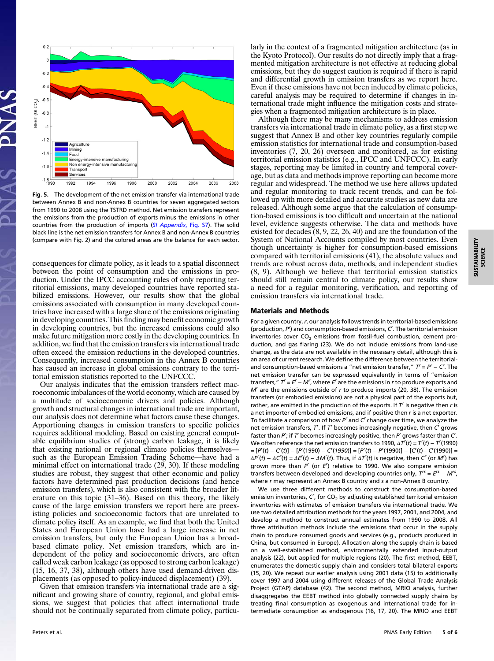

Fig. 5. The development of the net emission transfer via international trade between Annex B and non-Annex B countries for seven aggregated sectors from 1990 to 2008 using the TSTRD method. Net emission transfers represent the emissions from the production of exports minus the emissions in other countries from the production of imports ([SI Appendix](http://www.pnas.org/lookup/suppl/doi:10.1073/pnas.1006388108/-/DCSupplemental/sapp.pdf), Fig. S7). The solid black line is the net emission transfers for Annex B and non-Annex B countries (compare with Fig. 2) and the colored areas are the balance for each sector.

consequences for climate policy, as it leads to a spatial disconnect between the point of consumption and the emissions in production. Under the IPCC accounting rules of only reporting territorial emissions, many developed countries have reported stabilized emissions. However, our results show that the global emissions associated with consumption in many developed countries have increased with a large share of the emissions originating in developing countries. This finding may benefit economic growth in developing countries, but the increased emissions could also make future mitigation more costly in the developing countries. In addition, we find that the emission transfers via international trade often exceed the emission reductions in the developed countries. Consequently, increased consumption in the Annex B countries has caused an increase in global emissions contrary to the territorial emission statistics reported to the UNFCCC.

Our analysis indicates that the emission transfers reflect macroeconomic imbalances of the world economy, which are caused by a multitude of socioeconomic drivers and policies. Although growth and structural changes in international trade are important, our analysis does not determine what factors cause these changes. Apportioning changes in emission transfers to specific policies requires additional modeling. Based on existing general computable equilibrium studies of (strong) carbon leakage, it is likely that existing national or regional climate policies themselves such as the European Emission Trading Scheme—have had a minimal effect on international trade (29, 30). If these modeling studies are robust, they suggest that other economic and policy factors have determined past production decisions (and hence emission transfers), which is also consistent with the broader literature on this topic (31–36). Based on this theory, the likely cause of the large emission transfers we report here are preexisting policies and socioeconomic factors that are unrelated to climate policy itself. As an example, we find that both the United States and European Union have had a large increase in net emission transfers, but only the European Union has a broadbased climate policy. Net emission transfers, which are independent of the policy and socioeconomic drivers, are often called weak carbon leakage (as opposed to strong carbon leakage) (15, 16, 37, 38), although others have used demand-driven displacements (as opposed to policy-induced displacement) (39).

Given that emission transfers via international trade are a significant and growing share of country, regional, and global emissions, we suggest that policies that affect international trade should not be continually separated from climate policy, particularly in the context of a fragmented mitigation architecture (as in the Kyoto Protocol). Our results do not directly imply that a fragmented mitigation architecture is not effective at reducing global emissions, but they do suggest caution is required if there is rapid and differential growth in emission transfers as we report here. Even if these emissions have not been induced by climate policies, careful analysis may be required to determine if changes in international trade might influence the mitigation costs and strategies when a fragmented mitigation architecture is in place.

Although there may be many mechanisms to address emission transfers via international trade in climate policy, as a first step we suggest that Annex B and other key countries regularly compile emission statistics for international trade and consumption-based inventories (7, 20, 26) overseen and monitored, as for existing territorial emission statistics (e.g., IPCC and UNFCCC). In early stages, reporting may be limited in country and temporal coverage, but as data and methods improve reporting can become more regular and widespread. The method we use here allows updated and regular monitoring to track recent trends, and can be followed up with more detailed and accurate studies as new data are released. Although some argue that the calculation of consumption-based emissions is too difficult and uncertain at the national level, evidence suggests otherwise. The data and methods have existed for decades (8, 9, 22, 26, 40) and are the foundation of the System of National Accounts compiled by most countries. Even though uncertainty is higher for consumption-based emissions compared with territorial emissions (41), the absolute values and trends are robust across data, methods, and independent studies (8, 9). Although we believe that territorial emission statistics should still remain central to climate policy, our results show a need for a regular monitoring, verification, and reporting of emission transfers via international trade.

#### Materials and Methods

For a given country, r, our analysis follows trends in territorial-based emissions (production,  $P'$ ) and consumption-based emissions,  $C'$ . The territorial emission inventories cover  $CO<sub>2</sub>$  emissions from fossil-fuel combustion, cement production, and gas flaring (23). We do not include emissions from land-use change, as the data are not available in the necessary detail, although this is an area of current research. We define the difference between the territorialand consumption-based emissions a "net emission transfer,"  $T = P^r - C^r$ . The net emission transfer can be expressed equivalently in terms of "emission transfers,"  $T' = E' - M'$ , where  $E'$  are the emissions in r to produce exports and  $M<sup>r</sup>$  are the emissions outside of r to produce imports (20, 38). The emission transfers (or embodied emissions) are not a physical part of the exports but, rather, are emitted in the production of the exports. If  $T<sup>r</sup>$  is negative then r is a net importer of embodied emissions, and if positive then  $r$  is a net exporter. To facilitate a comparison of how  $P^r$  and  $C^r$  change over time, we analyze the net emission transfers,  $T'$ . If  $T'$  becomes increasingly negative, then  $C'$  grows faster than  $P'$ ; if  $T'$  becomes increasingly positive, then  $P'$  grows faster than  $C'$ . We often reference the net emission transfers to 1990,  $\Delta T'(t) = T'(t) - T'(1990)$  $=[P'(t)-C'(t)]-[P'(1990)-C'(1990)]=[P'(t)-P'(1990)]-[C'(t)-C'(1990)]=$  $\Delta P'(t) - \Delta C'(t) = \Delta E'(t) - \Delta M'(t)$ . Thus, if  $\Delta T'(t)$  is negative, then  $C'$  (or M') has grown more than  $P'$  (or  $E'$ ) relative to 1990. We also compare emission transfers between developed and developing countries only,  $T^{rs} = E^{rs} - M^{rs}$ , where r may represent an Annex B country and s a non-Annex B country.

We use three different methods to construct the consumption-based emission inventories,  $C'$ , for  $CO<sub>2</sub>$  by adjusting established territorial emission inventories with estimates of emission transfers via international trade. We use two detailed attribution methods for the years 1997, 2001, and 2004, and develop a method to construct annual estimates from 1990 to 2008. All three attribution methods include the emissions that occur in the supply chain to produce consumed goods and services (e.g., products produced in China, but consumed in Europe). Allocation along the supply chain is based on a well-established method, environmentally extended input-output analysis (22), but applied for multiple regions (20). The first method, EEBT, enumerates the domestic supply chain and considers total bilateral exports (15, 20). We repeat our earlier analysis using 2001 data (15) to additionally cover 1997 and 2004 using different releases of the Global Trade Analysis Project (GTAP) database (42). The second method, MRIO analysis, further disaggregates the EEBT method into globally connected supply chains by treating final consumption as exogenous and international trade for intermediate consumption as endogenous (16, 17, 20). The MRIO and EEBT